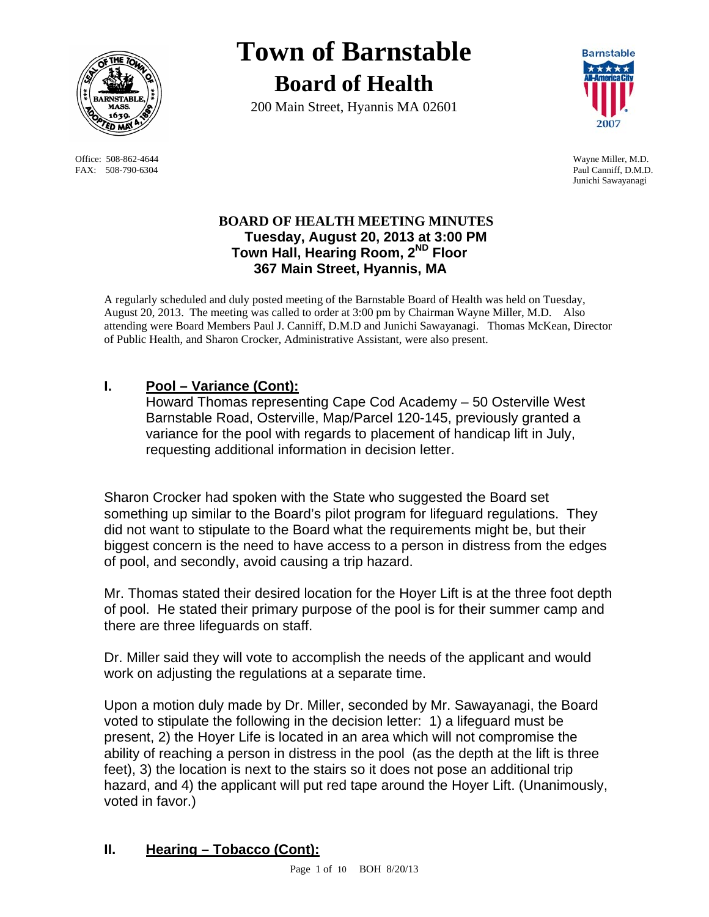

 Office: 508-862-4644 Wayne Miller, M.D. FAX: 508-790-6304 Paul Canniff, D.M.D.

# **Town of Barnstable Board of Health**

200 Main Street, Hyannis MA 02601



Junichi Sawayanagi

## **BOARD OF HEALTH MEETING MINUTES Tuesday, August 20, 2013 at 3:00 PM Town Hall, Hearing Room, 2ND Floor 367 Main Street, Hyannis, MA**

A regularly scheduled and duly posted meeting of the Barnstable Board of Health was held on Tuesday, August 20, 2013. The meeting was called to order at 3:00 pm by Chairman Wayne Miller, M.D. Also attending were Board Members Paul J. Canniff, D.M.D and Junichi Sawayanagi. Thomas McKean, Director of Public Health, and Sharon Crocker, Administrative Assistant, were also present.

# **I. Pool – Variance (Cont):**

Howard Thomas representing Cape Cod Academy – 50 Osterville West Barnstable Road, Osterville, Map/Parcel 120-145, previously granted a variance for the pool with regards to placement of handicap lift in July, requesting additional information in decision letter.

Sharon Crocker had spoken with the State who suggested the Board set something up similar to the Board's pilot program for lifeguard regulations. They did not want to stipulate to the Board what the requirements might be, but their biggest concern is the need to have access to a person in distress from the edges of pool, and secondly, avoid causing a trip hazard.

Mr. Thomas stated their desired location for the Hoyer Lift is at the three foot depth of pool. He stated their primary purpose of the pool is for their summer camp and there are three lifeguards on staff.

Dr. Miller said they will vote to accomplish the needs of the applicant and would work on adjusting the regulations at a separate time.

Upon a motion duly made by Dr. Miller, seconded by Mr. Sawayanagi, the Board voted to stipulate the following in the decision letter: 1) a lifeguard must be present, 2) the Hoyer Life is located in an area which will not compromise the ability of reaching a person in distress in the pool (as the depth at the lift is three feet), 3) the location is next to the stairs so it does not pose an additional trip hazard, and 4) the applicant will put red tape around the Hoyer Lift. (Unanimously, voted in favor.)

## **II. Hearing – Tobacco (Cont):**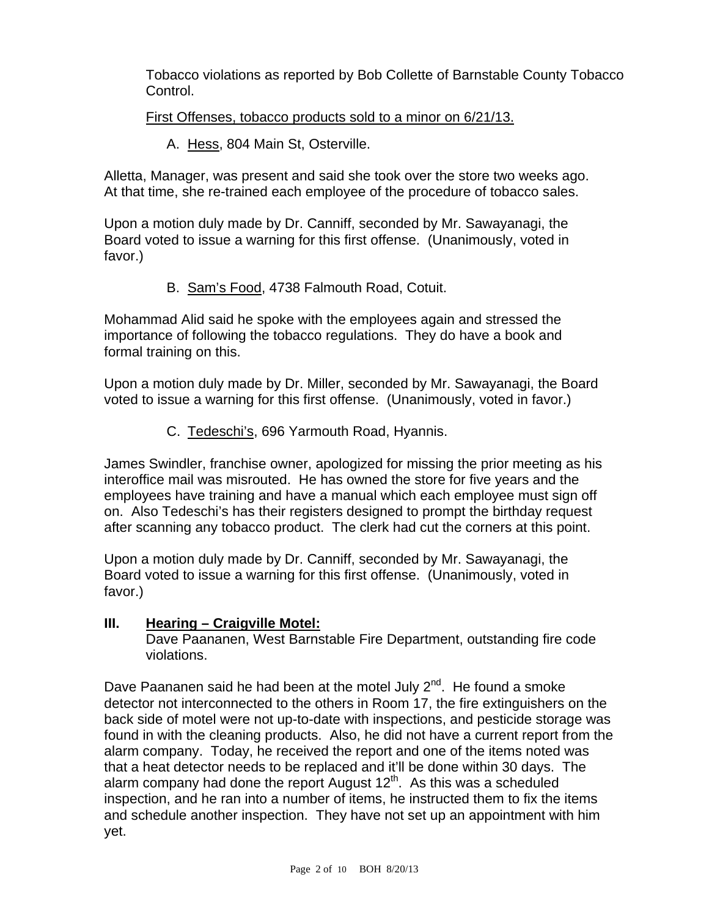Tobacco violations as reported by Bob Collette of Barnstable County Tobacco Control.

## First Offenses, tobacco products sold to a minor on 6/21/13.

A. Hess, 804 Main St, Osterville.

Alletta, Manager, was present and said she took over the store two weeks ago. At that time, she re-trained each employee of the procedure of tobacco sales.

Upon a motion duly made by Dr. Canniff, seconded by Mr. Sawayanagi, the Board voted to issue a warning for this first offense. (Unanimously, voted in favor.)

B. Sam's Food, 4738 Falmouth Road, Cotuit.

Mohammad Alid said he spoke with the employees again and stressed the importance of following the tobacco regulations. They do have a book and formal training on this.

Upon a motion duly made by Dr. Miller, seconded by Mr. Sawayanagi, the Board voted to issue a warning for this first offense. (Unanimously, voted in favor.)

C. Tedeschi's, 696 Yarmouth Road, Hyannis.

James Swindler, franchise owner, apologized for missing the prior meeting as his interoffice mail was misrouted. He has owned the store for five years and the employees have training and have a manual which each employee must sign off on. Also Tedeschi's has their registers designed to prompt the birthday request after scanning any tobacco product. The clerk had cut the corners at this point.

Upon a motion duly made by Dr. Canniff, seconded by Mr. Sawayanagi, the Board voted to issue a warning for this first offense. (Unanimously, voted in favor.)

## **III. Hearing – Craigville Motel:**

Dave Paananen, West Barnstable Fire Department, outstanding fire code violations.

Dave Paananen said he had been at the motel July  $2^{nd}$ . He found a smoke detector not interconnected to the others in Room 17, the fire extinguishers on the back side of motel were not up-to-date with inspections, and pesticide storage was found in with the cleaning products. Also, he did not have a current report from the alarm company. Today, he received the report and one of the items noted was that a heat detector needs to be replaced and it'll be done within 30 days. The alarm company had done the report August  $12<sup>th</sup>$ . As this was a scheduled inspection, and he ran into a number of items, he instructed them to fix the items and schedule another inspection. They have not set up an appointment with him yet.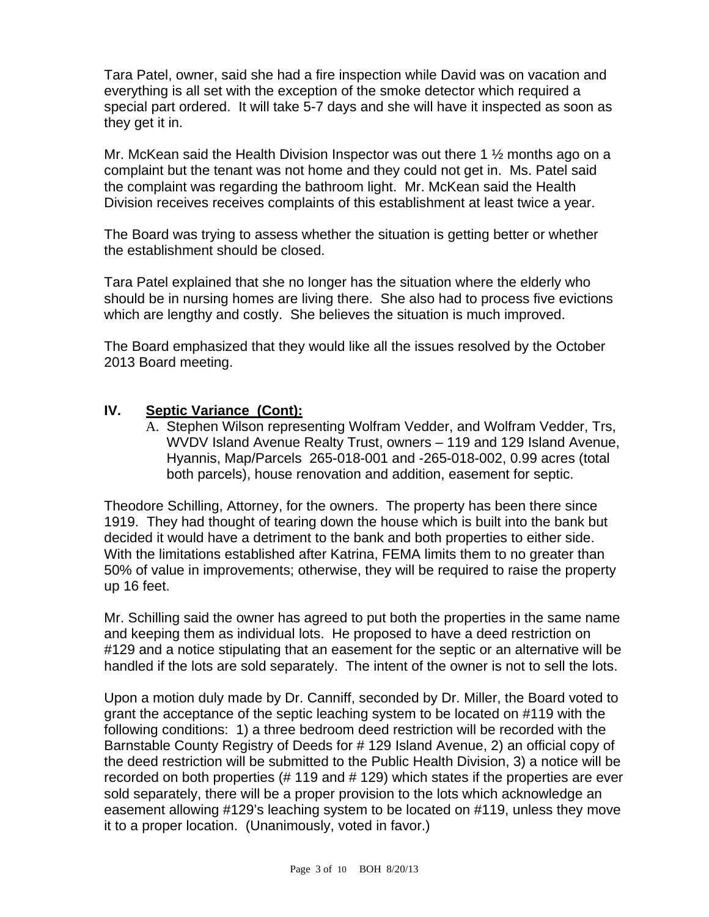Tara Patel, owner, said she had a fire inspection while David was on vacation and everything is all set with the exception of the smoke detector which required a special part ordered. It will take 5-7 days and she will have it inspected as soon as they get it in.

Mr. McKean said the Health Division Inspector was out there 1  $\frac{1}{2}$  months ago on a complaint but the tenant was not home and they could not get in. Ms. Patel said the complaint was regarding the bathroom light. Mr. McKean said the Health Division receives receives complaints of this establishment at least twice a year.

The Board was trying to assess whether the situation is getting better or whether the establishment should be closed.

Tara Patel explained that she no longer has the situation where the elderly who should be in nursing homes are living there. She also had to process five evictions which are lengthy and costly. She believes the situation is much improved.

The Board emphasized that they would like all the issues resolved by the October 2013 Board meeting.

### **IV. Septic Variance (Cont):**

A. Stephen Wilson representing Wolfram Vedder, and Wolfram Vedder, Trs, WVDV Island Avenue Realty Trust, owners – 119 and 129 Island Avenue, Hyannis, Map/Parcels 265-018-001 and -265-018-002, 0.99 acres (total both parcels), house renovation and addition, easement for septic.

Theodore Schilling, Attorney, for the owners. The property has been there since 1919. They had thought of tearing down the house which is built into the bank but decided it would have a detriment to the bank and both properties to either side. With the limitations established after Katrina, FEMA limits them to no greater than 50% of value in improvements; otherwise, they will be required to raise the property up 16 feet.

Mr. Schilling said the owner has agreed to put both the properties in the same name and keeping them as individual lots. He proposed to have a deed restriction on #129 and a notice stipulating that an easement for the septic or an alternative will be handled if the lots are sold separately. The intent of the owner is not to sell the lots.

Upon a motion duly made by Dr. Canniff, seconded by Dr. Miller, the Board voted to grant the acceptance of the septic leaching system to be located on #119 with the following conditions: 1) a three bedroom deed restriction will be recorded with the Barnstable County Registry of Deeds for # 129 Island Avenue, 2) an official copy of the deed restriction will be submitted to the Public Health Division, 3) a notice will be recorded on both properties (# 119 and # 129) which states if the properties are ever sold separately, there will be a proper provision to the lots which acknowledge an easement allowing #129's leaching system to be located on #119, unless they move it to a proper location. (Unanimously, voted in favor.)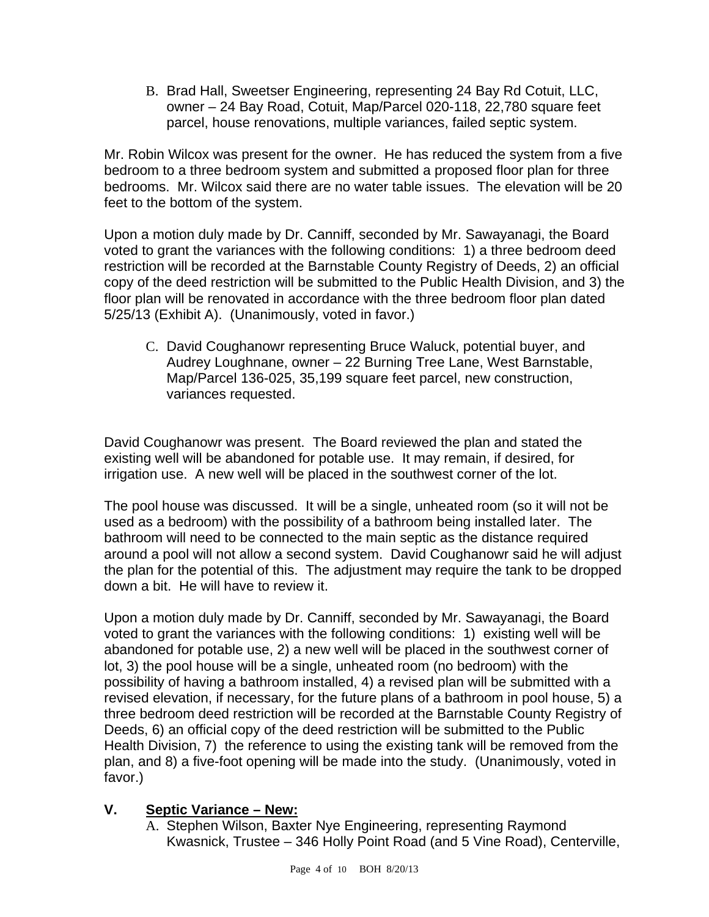B. Brad Hall, Sweetser Engineering, representing 24 Bay Rd Cotuit, LLC, owner – 24 Bay Road, Cotuit, Map/Parcel 020-118, 22,780 square feet parcel, house renovations, multiple variances, failed septic system.

Mr. Robin Wilcox was present for the owner. He has reduced the system from a five bedroom to a three bedroom system and submitted a proposed floor plan for three bedrooms. Mr. Wilcox said there are no water table issues. The elevation will be 20 feet to the bottom of the system.

Upon a motion duly made by Dr. Canniff, seconded by Mr. Sawayanagi, the Board voted to grant the variances with the following conditions: 1) a three bedroom deed restriction will be recorded at the Barnstable County Registry of Deeds, 2) an official copy of the deed restriction will be submitted to the Public Health Division, and 3) the floor plan will be renovated in accordance with the three bedroom floor plan dated 5/25/13 (Exhibit A). (Unanimously, voted in favor.)

C. David Coughanowr representing Bruce Waluck, potential buyer, and Audrey Loughnane, owner – 22 Burning Tree Lane, West Barnstable, Map/Parcel 136-025, 35,199 square feet parcel, new construction, variances requested.

David Coughanowr was present. The Board reviewed the plan and stated the existing well will be abandoned for potable use. It may remain, if desired, for irrigation use. A new well will be placed in the southwest corner of the lot.

The pool house was discussed. It will be a single, unheated room (so it will not be used as a bedroom) with the possibility of a bathroom being installed later. The bathroom will need to be connected to the main septic as the distance required around a pool will not allow a second system. David Coughanowr said he will adjust the plan for the potential of this. The adjustment may require the tank to be dropped down a bit. He will have to review it.

Upon a motion duly made by Dr. Canniff, seconded by Mr. Sawayanagi, the Board voted to grant the variances with the following conditions: 1) existing well will be abandoned for potable use, 2) a new well will be placed in the southwest corner of lot, 3) the pool house will be a single, unheated room (no bedroom) with the possibility of having a bathroom installed, 4) a revised plan will be submitted with a revised elevation, if necessary, for the future plans of a bathroom in pool house, 5) a three bedroom deed restriction will be recorded at the Barnstable County Registry of Deeds, 6) an official copy of the deed restriction will be submitted to the Public Health Division, 7) the reference to using the existing tank will be removed from the plan, and 8) a five-foot opening will be made into the study. (Unanimously, voted in favor.)

## **V. Septic Variance – New:**

A. Stephen Wilson, Baxter Nye Engineering, representing Raymond Kwasnick, Trustee – 346 Holly Point Road (and 5 Vine Road), Centerville,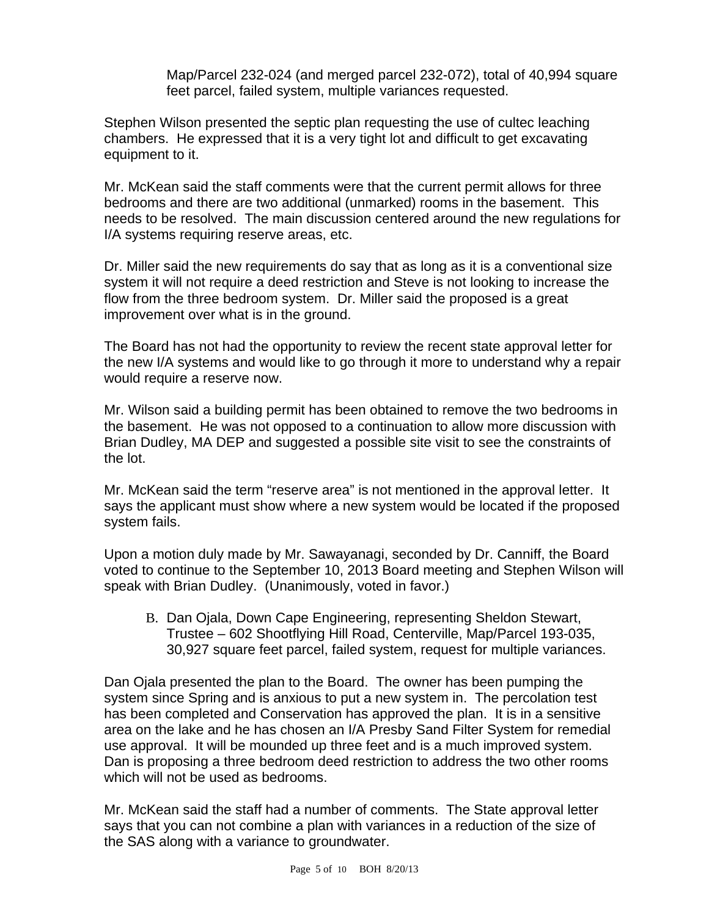Map/Parcel 232-024 (and merged parcel 232-072), total of 40,994 square feet parcel, failed system, multiple variances requested.

Stephen Wilson presented the septic plan requesting the use of cultec leaching chambers. He expressed that it is a very tight lot and difficult to get excavating equipment to it.

Mr. McKean said the staff comments were that the current permit allows for three bedrooms and there are two additional (unmarked) rooms in the basement. This needs to be resolved. The main discussion centered around the new regulations for I/A systems requiring reserve areas, etc.

Dr. Miller said the new requirements do say that as long as it is a conventional size system it will not require a deed restriction and Steve is not looking to increase the flow from the three bedroom system. Dr. Miller said the proposed is a great improvement over what is in the ground.

The Board has not had the opportunity to review the recent state approval letter for the new I/A systems and would like to go through it more to understand why a repair would require a reserve now.

Mr. Wilson said a building permit has been obtained to remove the two bedrooms in the basement. He was not opposed to a continuation to allow more discussion with Brian Dudley, MA DEP and suggested a possible site visit to see the constraints of the lot.

Mr. McKean said the term "reserve area" is not mentioned in the approval letter. It says the applicant must show where a new system would be located if the proposed system fails.

Upon a motion duly made by Mr. Sawayanagi, seconded by Dr. Canniff, the Board voted to continue to the September 10, 2013 Board meeting and Stephen Wilson will speak with Brian Dudley. (Unanimously, voted in favor.)

B. Dan Ojala, Down Cape Engineering, representing Sheldon Stewart, Trustee – 602 Shootflying Hill Road, Centerville, Map/Parcel 193-035, 30,927 square feet parcel, failed system, request for multiple variances.

Dan Ojala presented the plan to the Board. The owner has been pumping the system since Spring and is anxious to put a new system in. The percolation test has been completed and Conservation has approved the plan. It is in a sensitive area on the lake and he has chosen an I/A Presby Sand Filter System for remedial use approval. It will be mounded up three feet and is a much improved system. Dan is proposing a three bedroom deed restriction to address the two other rooms which will not be used as bedrooms.

Mr. McKean said the staff had a number of comments. The State approval letter says that you can not combine a plan with variances in a reduction of the size of the SAS along with a variance to groundwater.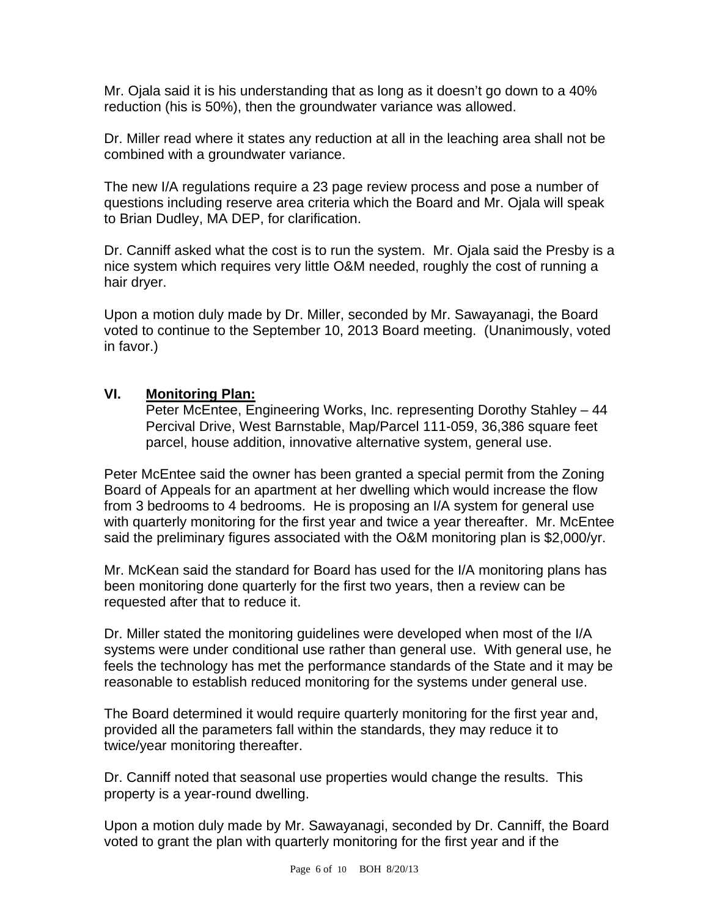Mr. Ojala said it is his understanding that as long as it doesn't go down to a 40% reduction (his is 50%), then the groundwater variance was allowed.

Dr. Miller read where it states any reduction at all in the leaching area shall not be combined with a groundwater variance.

The new I/A regulations require a 23 page review process and pose a number of questions including reserve area criteria which the Board and Mr. Ojala will speak to Brian Dudley, MA DEP, for clarification.

Dr. Canniff asked what the cost is to run the system. Mr. Ojala said the Presby is a nice system which requires very little O&M needed, roughly the cost of running a hair dryer.

Upon a motion duly made by Dr. Miller, seconded by Mr. Sawayanagi, the Board voted to continue to the September 10, 2013 Board meeting. (Unanimously, voted in favor.)

### **VI. Monitoring Plan:**

Peter McEntee, Engineering Works, Inc. representing Dorothy Stahley – 44 Percival Drive, West Barnstable, Map/Parcel 111-059, 36,386 square feet parcel, house addition, innovative alternative system, general use.

Peter McEntee said the owner has been granted a special permit from the Zoning Board of Appeals for an apartment at her dwelling which would increase the flow from 3 bedrooms to 4 bedrooms. He is proposing an I/A system for general use with quarterly monitoring for the first year and twice a year thereafter. Mr. McEntee said the preliminary figures associated with the O&M monitoring plan is \$2,000/yr.

Mr. McKean said the standard for Board has used for the I/A monitoring plans has been monitoring done quarterly for the first two years, then a review can be requested after that to reduce it.

Dr. Miller stated the monitoring guidelines were developed when most of the I/A systems were under conditional use rather than general use. With general use, he feels the technology has met the performance standards of the State and it may be reasonable to establish reduced monitoring for the systems under general use.

The Board determined it would require quarterly monitoring for the first year and, provided all the parameters fall within the standards, they may reduce it to twice/year monitoring thereafter.

Dr. Canniff noted that seasonal use properties would change the results. This property is a year-round dwelling.

Upon a motion duly made by Mr. Sawayanagi, seconded by Dr. Canniff, the Board voted to grant the plan with quarterly monitoring for the first year and if the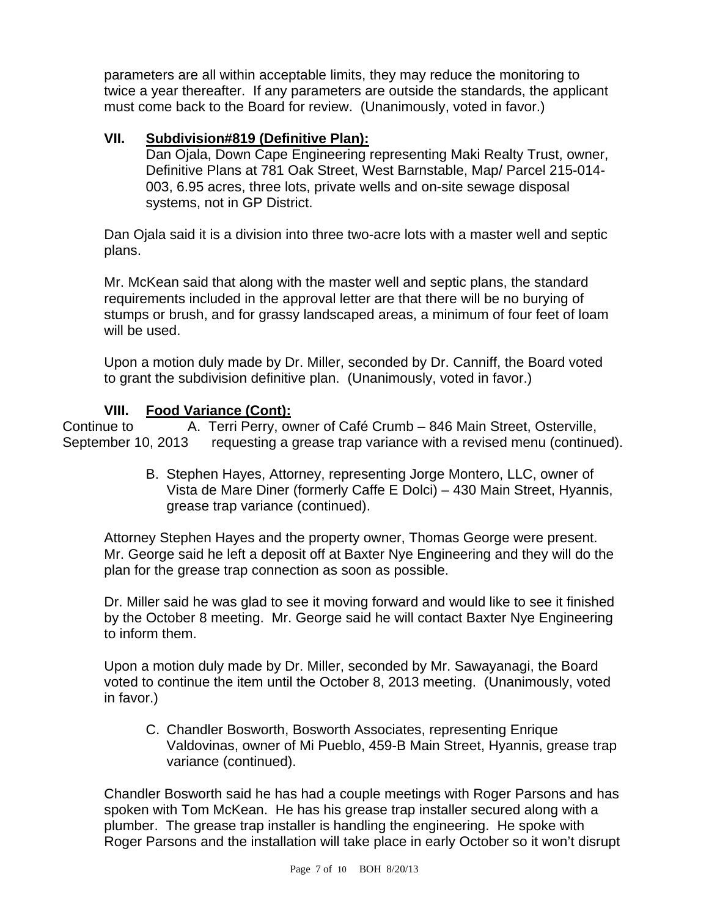parameters are all within acceptable limits, they may reduce the monitoring to twice a year thereafter. If any parameters are outside the standards, the applicant must come back to the Board for review. (Unanimously, voted in favor.)

## **VII. Subdivision#819 (Definitive Plan):**

Dan Ojala, Down Cape Engineering representing Maki Realty Trust, owner, Definitive Plans at 781 Oak Street, West Barnstable, Map/ Parcel 215-014- 003, 6.95 acres, three lots, private wells and on-site sewage disposal systems, not in GP District.

Dan Ojala said it is a division into three two-acre lots with a master well and septic plans.

Mr. McKean said that along with the master well and septic plans, the standard requirements included in the approval letter are that there will be no burying of stumps or brush, and for grassy landscaped areas, a minimum of four feet of loam will be used.

Upon a motion duly made by Dr. Miller, seconded by Dr. Canniff, the Board voted to grant the subdivision definitive plan. (Unanimously, voted in favor.)

### **VIII. Food Variance (Cont):**

Continue to **A. Terri Perry, owner of Café Crumb – 846 Main Street, Osterville,** September 10, 2013 requesting a grease trap variance with a revised menu (continued).

> B. Stephen Hayes, Attorney, representing Jorge Montero, LLC, owner of Vista de Mare Diner (formerly Caffe E Dolci) – 430 Main Street, Hyannis, grease trap variance (continued).

Attorney Stephen Hayes and the property owner, Thomas George were present. Mr. George said he left a deposit off at Baxter Nye Engineering and they will do the plan for the grease trap connection as soon as possible.

Dr. Miller said he was glad to see it moving forward and would like to see it finished by the October 8 meeting. Mr. George said he will contact Baxter Nye Engineering to inform them.

Upon a motion duly made by Dr. Miller, seconded by Mr. Sawayanagi, the Board voted to continue the item until the October 8, 2013 meeting. (Unanimously, voted in favor.)

C. Chandler Bosworth, Bosworth Associates, representing Enrique Valdovinas, owner of Mi Pueblo, 459-B Main Street, Hyannis, grease trap variance (continued).

Chandler Bosworth said he has had a couple meetings with Roger Parsons and has spoken with Tom McKean. He has his grease trap installer secured along with a plumber. The grease trap installer is handling the engineering. He spoke with Roger Parsons and the installation will take place in early October so it won't disrupt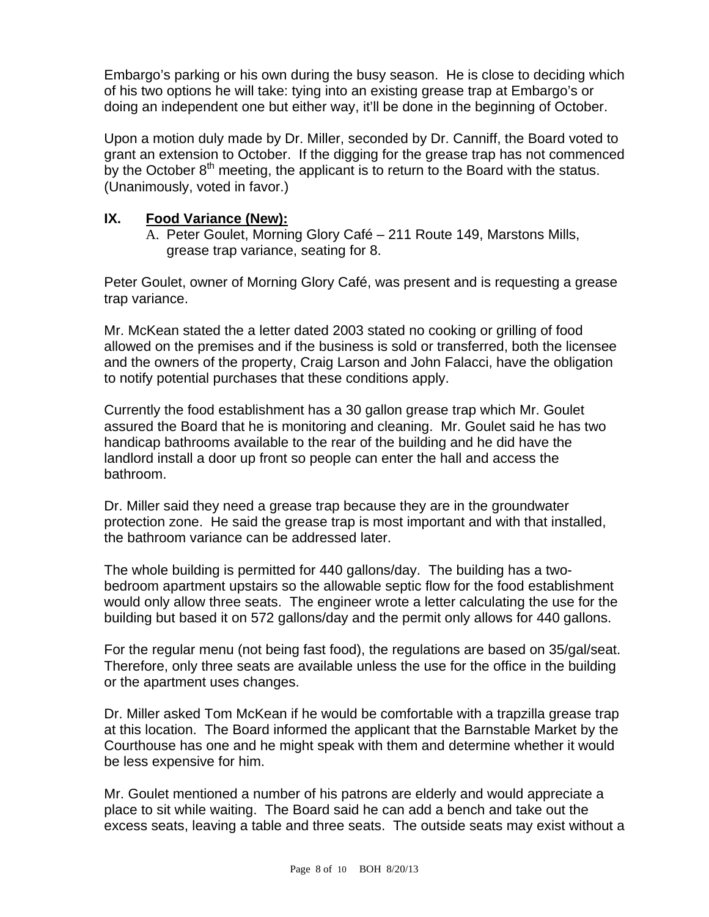Embargo's parking or his own during the busy season. He is close to deciding which of his two options he will take: tying into an existing grease trap at Embargo's or doing an independent one but either way, it'll be done in the beginning of October.

Upon a motion duly made by Dr. Miller, seconded by Dr. Canniff, the Board voted to grant an extension to October. If the digging for the grease trap has not commenced by the October  $8<sup>th</sup>$  meeting, the applicant is to return to the Board with the status. (Unanimously, voted in favor.)

## **IX. Food Variance (New):**

A. Peter Goulet, Morning Glory Café – 211 Route 149, Marstons Mills, grease trap variance, seating for 8.

Peter Goulet, owner of Morning Glory Café, was present and is requesting a grease trap variance.

Mr. McKean stated the a letter dated 2003 stated no cooking or grilling of food allowed on the premises and if the business is sold or transferred, both the licensee and the owners of the property, Craig Larson and John Falacci, have the obligation to notify potential purchases that these conditions apply.

Currently the food establishment has a 30 gallon grease trap which Mr. Goulet assured the Board that he is monitoring and cleaning. Mr. Goulet said he has two handicap bathrooms available to the rear of the building and he did have the landlord install a door up front so people can enter the hall and access the bathroom.

Dr. Miller said they need a grease trap because they are in the groundwater protection zone. He said the grease trap is most important and with that installed, the bathroom variance can be addressed later.

The whole building is permitted for 440 gallons/day. The building has a twobedroom apartment upstairs so the allowable septic flow for the food establishment would only allow three seats. The engineer wrote a letter calculating the use for the building but based it on 572 gallons/day and the permit only allows for 440 gallons.

For the regular menu (not being fast food), the regulations are based on 35/gal/seat. Therefore, only three seats are available unless the use for the office in the building or the apartment uses changes.

Dr. Miller asked Tom McKean if he would be comfortable with a trapzilla grease trap at this location. The Board informed the applicant that the Barnstable Market by the Courthouse has one and he might speak with them and determine whether it would be less expensive for him.

Mr. Goulet mentioned a number of his patrons are elderly and would appreciate a place to sit while waiting. The Board said he can add a bench and take out the excess seats, leaving a table and three seats. The outside seats may exist without a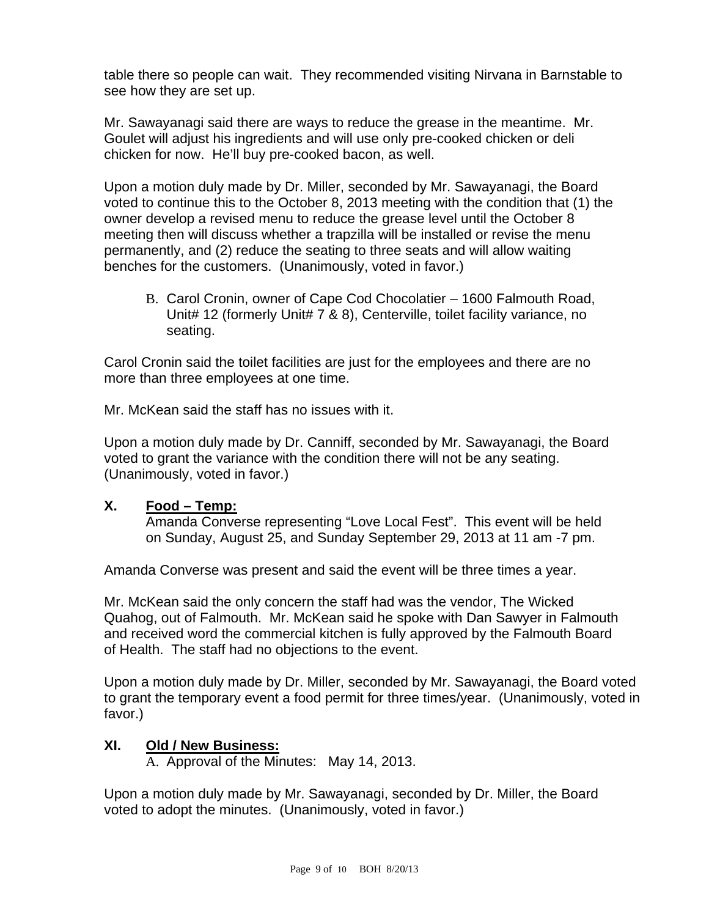table there so people can wait. They recommended visiting Nirvana in Barnstable to see how they are set up.

Mr. Sawayanagi said there are ways to reduce the grease in the meantime. Mr. Goulet will adjust his ingredients and will use only pre-cooked chicken or deli chicken for now. He'll buy pre-cooked bacon, as well.

Upon a motion duly made by Dr. Miller, seconded by Mr. Sawayanagi, the Board voted to continue this to the October 8, 2013 meeting with the condition that (1) the owner develop a revised menu to reduce the grease level until the October 8 meeting then will discuss whether a trapzilla will be installed or revise the menu permanently, and (2) reduce the seating to three seats and will allow waiting benches for the customers. (Unanimously, voted in favor.)

B. Carol Cronin, owner of Cape Cod Chocolatier – 1600 Falmouth Road, Unit# 12 (formerly Unit# 7 & 8), Centerville, toilet facility variance, no seating.

Carol Cronin said the toilet facilities are just for the employees and there are no more than three employees at one time.

Mr. McKean said the staff has no issues with it.

Upon a motion duly made by Dr. Canniff, seconded by Mr. Sawayanagi, the Board voted to grant the variance with the condition there will not be any seating. (Unanimously, voted in favor.)

### **X. Food – Temp:**

Amanda Converse representing "Love Local Fest". This event will be held on Sunday, August 25, and Sunday September 29, 2013 at 11 am -7 pm.

Amanda Converse was present and said the event will be three times a year.

Mr. McKean said the only concern the staff had was the vendor, The Wicked Quahog, out of Falmouth. Mr. McKean said he spoke with Dan Sawyer in Falmouth and received word the commercial kitchen is fully approved by the Falmouth Board of Health. The staff had no objections to the event.

Upon a motion duly made by Dr. Miller, seconded by Mr. Sawayanagi, the Board voted to grant the temporary event a food permit for three times/year. (Unanimously, voted in favor.)

### **XI. Old / New Business:**

A. Approval of the Minutes: May 14, 2013.

Upon a motion duly made by Mr. Sawayanagi, seconded by Dr. Miller, the Board voted to adopt the minutes. (Unanimously, voted in favor.)